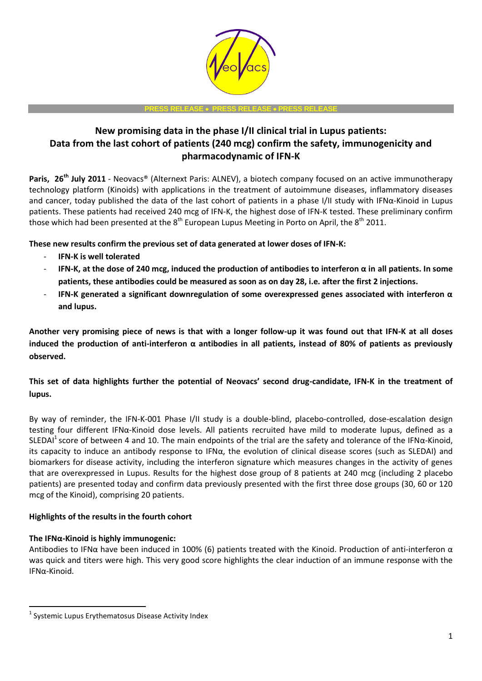

#### **PRESS RELEASE PRESS RELEASE PRESS RELEASE**

# **New promising data in the phase I/II clinical trial in Lupus patients: Data from the last cohort of patients (240 mcg) confirm the safety, immunogenicity and pharmacodynamic of IFN-K**

**Paris, 26th July 2011** - [Neovacs®](http://www.neovacs.com/) (Alternext Paris: ALNEV), a biotech company focused on an active immunotherapy technology platform (Kinoids) with applications in the treatment of autoimmune diseases, inflammatory diseases and cancer, today published the data of the last cohort of patients in a phase I/II study with IFNα-Kinoid in Lupus patients. These patients had received 240 mcg of IFN-K, the highest dose of IFN-K tested. These preliminary confirm those which had been presented at the  $8<sup>th</sup>$  European Lupus Meeting in Porto on April, the  $8<sup>th</sup>$  2011.

**These new results confirm the previous set of data generated at lower doses of IFN-K:**

- **IFN-K is well tolerated**
- **IFN-K, at the dose of 240 mcg, induced the production of antibodies to interferon α in all patients. In some patients, these antibodies could be measured as soon as on day 28, i.e. after the first 2 injections.**
- **IFN-K generated a significant downregulation of some overexpressed genes associated with interferon α and lupus.**

**Another very promising piece of news is that with a longer follow-up it was found out that IFN-K at all doses induced the production of anti-interferon α antibodies in all patients, instead of 80% of patients as previously observed.**

**This set of data highlights further the potential of Neovacs' second drug-candidate, IFN-K in the treatment of lupus.**

By way of reminder, the IFN-K-001 Phase I/II study is a double-blind, placebo-controlled, dose-escalation design testing four different IFNα-Kinoid dose levels. All patients recruited have mild to moderate lupus, defined as a SLEDAI<sup>1</sup> score of between 4 and 10. The main endpoints of the trial are the safety and tolerance of the IFN $\alpha$ -Kinoid, its capacity to induce an antibody response to IFN $\alpha$ , the evolution of clinical disease scores (such as SLEDAI) and biomarkers for disease activity, including the interferon signature which measures changes in the activity of genes that are overexpressed in Lupus. Results for the highest dose group of 8 patients at 240 mcg (including 2 placebo patients) are presented today and confirm data previously presented with the first three dose groups (30, 60 or 120 mcg of the Kinoid), comprising 20 patients.

# **Highlights of the results in the fourth cohort**

# **The IFNα-Kinoid is highly immunogenic:**

1

Antibodies to IFN $\alpha$  have been induced in 100% (6) patients treated with the Kinoid. Production of anti-interferon  $\alpha$ was quick and titers were high. This very good score highlights the clear induction of an immune response with the IFNα-Kinoid.

<sup>1</sup> Systemic Lupus Erythematosus Disease Activity Index